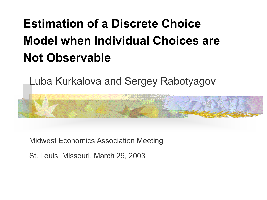# **Estimation of a Discrete Choice Model when Individual Choices are Not Observable**

Luba Kurkalova and Sergey Rabotyagov



Midwest Economics Association Meeting

St. Louis, Missouri, March 29, 2003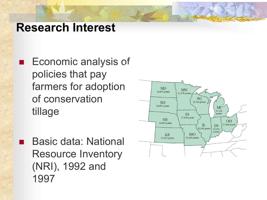#### **Research Interest**

**Economic analysis of** policies that pay farmers for adoption of conservation tillage

 Basic data: National Resource Inventory (NRI), 1992 and 1997

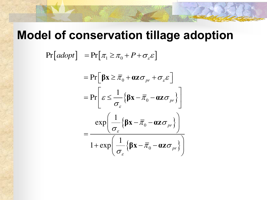#### **Model of conservation tillage adoption**

 $Pr[adopt] = Pr[\pi_1 \geq \pi_0 + P + \sigma_{\varepsilon} \varepsilon]$  $\left\{\beta \mathbf{X} - \overline{\pi}_0 - \mathbf{0} \mathbf{Z} \boldsymbol{\sigma}_{pr}\right\}$  $\left\{\beta \mathbf{x}-\overline{\pi}_0-\mathbf{az}\boldsymbol{\sigma}_{pr}\right\}$  $\left\{\beta \mathbf{x}-\overline{\pi}_0-\mathbf{az}\boldsymbol{\sigma}_{pr}\right\}$  $= Pr \left[ \beta x \ge \overline{\pi}_0 + \alpha z \sigma_{pr} + \sigma_{\varepsilon} \varepsilon \right]$ 1  $\Pr\left[\varepsilon \leq \frac{1}{\epsilon}\right]$   $\beta$ **x**  $-\bar{\pi}_0$   $-\alpha$ **z**  $\sigma_{pr}$ 1  $\exp\left(-\frac{1}{2}\right) \beta x - \bar{\pi}_0 - \alpha z \sigma_{pr}$ 1  $1 + \exp \left( \frac{1}{2} \beta x - \overline{\pi}_0 - \alpha z \sigma_{pr} \right)$ ε ε ε  $\varepsilon \leq \frac{1}{\sqrt{2}} \left\{ \beta x - \overline{\pi}_0 - \alpha z \sigma \right\}$  $\sigma$  $\overline{\pi}_0 - \alpha z \sigma$  $\left(\frac{1}{\sigma}\left\{\beta \mathbf{x}-\bar{\pi}_{0}-\boldsymbol{\alpha}\mathbf{z}\sigma_{pr}\right\}\right)$  $\overline{\pi}_0 - \alpha z \sigma$  $\sigma$  $\begin{vmatrix} 1 & 0 & - & \end{vmatrix}$  $=\Pr\left[\varepsilon \leq \frac{1}{\sigma_{\varepsilon}}\left\{\beta \mathbf{X} - \overline{\pi}_{0} - \mathbf{0} \mathbf{Z} \sigma_{pr}\right\}\right]$  $\left(\sigma_{\varepsilon}$   $\sigma_{\varepsilon}$   $\sigma_{\varepsilon}$   $\sigma_{\varepsilon}$  $=$  $\left( \begin{array}{ccc} 1 & - & \end{array} \right)$  $+\exp\left(\frac{1}{\sigma_{\varepsilon}}\left\{\beta\mathbf{x}-\bar{\pi}_{0}-\mathbf{az}\sigma_{pr}\right\}\right)$  $βx - *\bar*<sub>0</sub> - αz$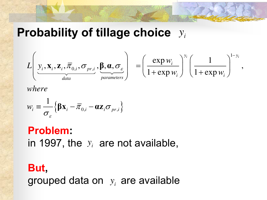#### **Probability of tillage choice**  $y_i$



*where*

$$
w_i = \frac{1}{\sigma_{\varepsilon}} \Big\{ \mathbf{\beta} \mathbf{x}_i - \overline{\pi}_{0,i} - \alpha \mathbf{z}_i \sigma_{pr,i} \Big\}
$$

#### **Problem:**  in 1997, the  $y_i$  are not available,

#### **But,**  grouped data on  $y_i$  are available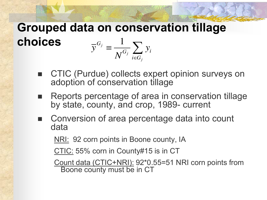#### **Grouped data on conservation tillage choices**   $_j$  1 *j G*  $G_i \nightharpoonup \mathcal{L}$   $\mathcal{I}i$  $i \in G$  $\overline{y}^{\mathbf{G}_j} \equiv \frac{1}{\mathbf{G}_j} \sum y$  $N^{\mathsf{u}_j}$  ie ═  $\frac{1}{\sqrt{G_i}}\sum$

 CTIC (Purdue) collects expert opinion surveys on adoption of conservation tillage

*j*

- Reports percentage of area in conservation tillage by state, county, and crop, 1989- current
- Conversion of area percentage data into count data

NRI: 92 corn points in Boone county, IA

CTIC: 55% corn in County#15 is in CT

Count data (CTIC+NRI): 92\*0.55=51 NRI corn points from Boone county must be in CT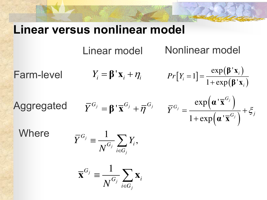#### **Linear versus nonlinear model**

Linear model **Nonlinear model** 

 $Y_i = \beta' \mathbf{x}_i + \eta_i$  $[Y_i = 1] = \frac{\exp(\beta' \mathbf{x}_i)}{1 + \exp(\beta' \mathbf{x}_i)}$  $(\beta' x_i)$  $\exp(\boldsymbol{\beta}^{\, \prime}$ 1  $1 + \exp(\beta)$ *i i i*  $Pr[Y_i = 1] =$ ┿ **β <sup>x</sup> β <sup>x</sup>** Farm-level

' $\overline{Y}^{G_j} = \beta' \overline{\mathbf{x}}^{G_j} + \overline{\eta}^{G_j}$  $\left(\boldsymbol{\alpha}^\top\overline{\mathbf{x}}^{G_j}\,\right)$  $\overline{\left( \boldsymbol{\alpha}^{\top} \overline{\mathbf{x}}^{G_j} \right)}$  .  $exp(\alpha')$  $1 + \exp(\alpha')$ *j j j G*  $\bar{Y}^{G_j} = \frac{1}{1 - (1 - G_i)^2} + \xi_j$  $\hspace{0.1mm} +$ **<sup>α</sup> <sup>x</sup> <sup>α</sup> <sup>x</sup>** Aggregated

Where

$$
\bar{Y}^{G_j} \equiv \frac{1}{N^{G_j}} \sum_{i \in G_j} Y_i,
$$

$$
\overline{\mathbf{x}}^{G_j} \equiv \frac{1}{N^{G_j}} \sum_{i \in G_j} \mathbf{x}_i
$$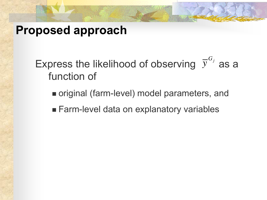#### **Proposed approach**

Express the likelihood of observing  $\bar{y}^{G_j}$  as a function of *y*

- original (farm-level) model parameters, and
- **Farm-level data on explanatory variables**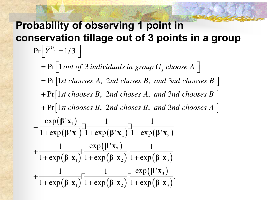#### **Probability of observing 1 point in conservation tillage out of 3 points in a group**   $\Pr\left[\,\overline{Y}^{G_j} = 1/3\,\,\right]$  $\left[ \begin{array}{cc} Y & -1/5 \end{array} \right]$

 $= Pr[1st \, chooses \, A, \, 2nd \, chooses \, B, \, and \, 3nd \, chooses \, B]$  $+$   $\Pr$ [1st chooses B, 2nd choses A, and 3nd chooses B ]  $+$  Pr[1st chooses B, 2nd choses B, and 3nd chooses A]  $(\beta' x_1)$  $\left(\mathbf{\beta}^\mathsf{\,r} \mathbf{x}_1\right)^\mathsf{\scriptscriptstyle L}$ 1 1  $=$  Pr $\vert$  1 *out of* 3 *individuals in group*  $G_j$  *choose* A  $exp(\beta' \mathbf{x}_1)$  1  $1 + \exp(\beta' \mathbf{x}_1)$   $1 + \exp(\beta')$  $\Pr[\text{1 out of 3 individuals in group } G_j \text{ choose } A]$  $=\frac{1}{1+\exp(\beta' \mathbf{x}_1)}$ **β <sup>x</sup>**  $\beta'$ **x**<sub>1</sub> $\bigcup$ <sup>1</sup> + exp( $\beta'$ **x**<sub>2</sub> $\bigcup$ <sup>1</sup> + exp( $\beta'$ **x**<sub>3</sub>)  $\overline{\boldsymbol{\left(\boldsymbol{\beta}^{\mathsf{T}}\mathbf{X}_1\right)}}^{\mathsf{L}}$  $(\beta' x_2)$  $(\boldsymbol{\beta} \mathbf{x}_2)^{-1} + \exp(\boldsymbol{\beta} \mathbf{x}_3)$  $(\boldsymbol{\beta} \mathbf{x}_1)^{-1} + \exp(\boldsymbol{\beta} \mathbf{x}_2)^{-1}$  $(\beta' x_3)$  $\overline{(\beta' x_3)}$ 2  $1$   $1 + \exp(\mathbf{P} \cdot \mathbf{A}_2)$   $1 + \exp(\mathbf{P} \cdot \mathbf{A}_3)$ 3  $1$   $1 + \exp(\mathbf{P} \cdot \mathbf{A}_2)$   $1 + \exp(\mathbf{P} \cdot \mathbf{A}_3)$ 1  $\mathbf{x}_2$ ) 1+exp( $\boldsymbol{\beta}$ '**x** 1  $\exp(\beta' \mathbf{x}_2)$  1  $1 + \exp(\beta' \mathbf{x}_1)$  1+ $\exp(\beta' \mathbf{x}_2)$  1+ $\exp(\beta')$ 1  $\Box$  1  $\Box$  exp( $\beta'$ )  $1 + \exp(\beta' \mathbf{x}_1)^{-1} + \exp(\beta' \mathbf{x}_2)^{-1} + \exp(\beta' \mathbf{x}_3)^{-1}$  $\mathrm{+}$  $+\exp(\beta' \mathbf{x}_1)^{-1}+\exp(\beta' \mathbf{x}_2)^{-1}+$ ┿  $+\exp(\beta' \mathbf{x}_1)^{-1}+\exp(\beta' \mathbf{x}_2)^{-1}+$ **β <sup>x</sup>**  $\mathbf{\beta}^{\mathsf{T}}\mathbf{x}_{1}$ ) 1+exp( $\mathbf{\beta}^{\mathsf{T}}\mathbf{x}_{2}$ ) 1+exp( $\mathbf{\beta}^{\mathsf{T}}\mathbf{x}_{2}$ **β <sup>x</sup>**  $\mathbf{\beta}^{\mathsf{T}}\mathbf{x}_{1}$ ) 1+exp( $\mathbf{\beta}^{\mathsf{T}}\mathbf{x}_{2}$ ) 1+exp( $\mathbf{\beta}^{\mathsf{T}}\mathbf{x}_{2}$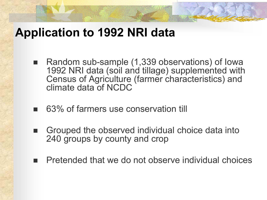#### **Application to 1992 NRI data**

- Random sub-sample (1,339 observations) of lowa 1992 NRI data (soil and tillage) supplemented with Census of Agriculture (farmer characteristics) and climate data of NCDC
- 63% of farmers use conservation till
- Grouped the observed individual choice data into 240 groups by county and crop
- Pretended that we do not observe individual choices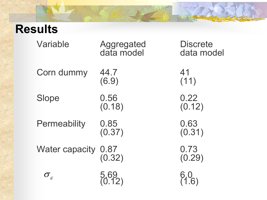## **Results**

| Variable               | Aggregated<br>data model | <b>Discrete</b><br>data model |
|------------------------|--------------------------|-------------------------------|
| Corn dummy             | 44.7<br>(6.9)            | 41<br>(11)                    |
| <b>Slope</b>           | 0.56<br>(0.18)           | 0.22<br>(0.12)                |
| <b>Permeability</b>    | 0.85<br>(0.37)           | 0.63<br>(0.31)                |
| <b>Water capacity</b>  | 0.87<br>(0.32)           | 0.73<br>(0.29)                |
| $\sigma_{\varepsilon}$ |                          |                               |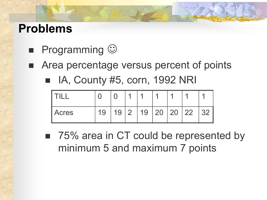#### **Problems**

- **Programming**  $\odot$
- Area percentage versus percent of points
	- $\blacksquare$  IA, County #5, corn, 1992 NRI

|              |   |    |     | л  | и   | я            |   |
|--------------|---|----|-----|----|-----|--------------|---|
| <b>Acres</b> | л | .9 | _ വ | 19 | 120 | $20 \mid 22$ | ◠ |

■ 75% area in CT could be represented by minimum 5 and maximum 7 points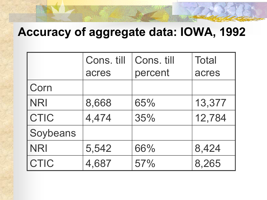## **Accuracy of aggregate data: IOWA, 1992**

|             | Cons. till | Cons. till | <b>Total</b> |
|-------------|------------|------------|--------------|
|             | acres      | percent    | acres        |
| <b>Corn</b> |            |            |              |
| <b>NRI</b>  | 8,668      | 65%        | 13,377       |
| <b>CTIC</b> | 4,474      | 35%        | 12,784       |
| Soybeans    |            |            |              |
| <b>NRI</b>  | 5,542      | 66%        | 8,424        |
| <b>CTIC</b> | 4,687      | 57%        | 8,265        |